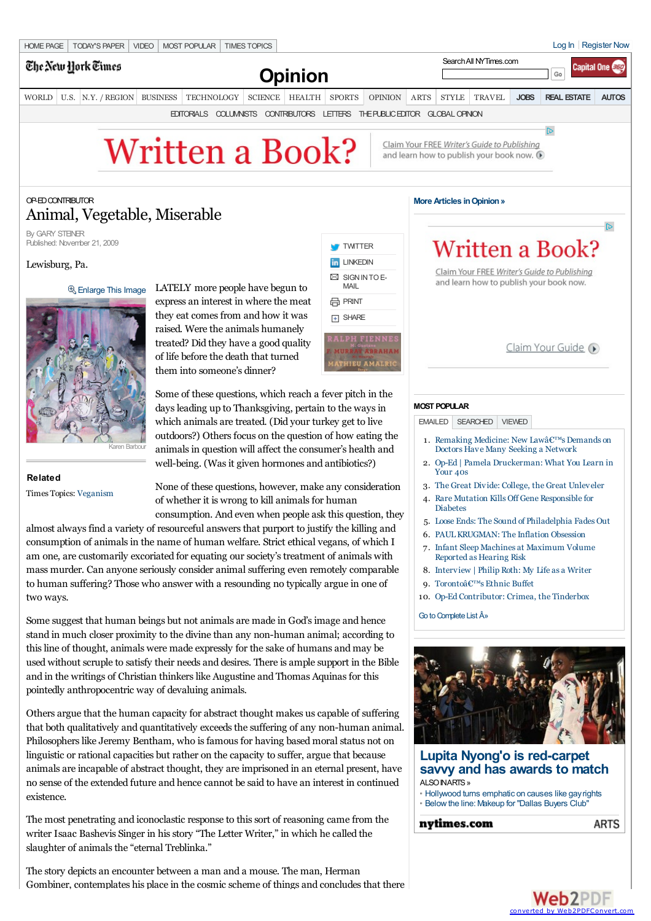<span id="page-0-0"></span>

The most penetrating and iconoclastic response to this sort of reasoning came from the writer Isaac Bashevis Singer in hisstory "The Letter Writer," in which he called the slaughter of animals the "eternal Treblinka."

The story depicts an encounter between a man and a mouse. The man, Herman Gombiner, contemplates his place in the cosmic scheme of things and concludesthat there

 $\sf Web2PDF$ 

**ARTS** 

convert

nvtimes.com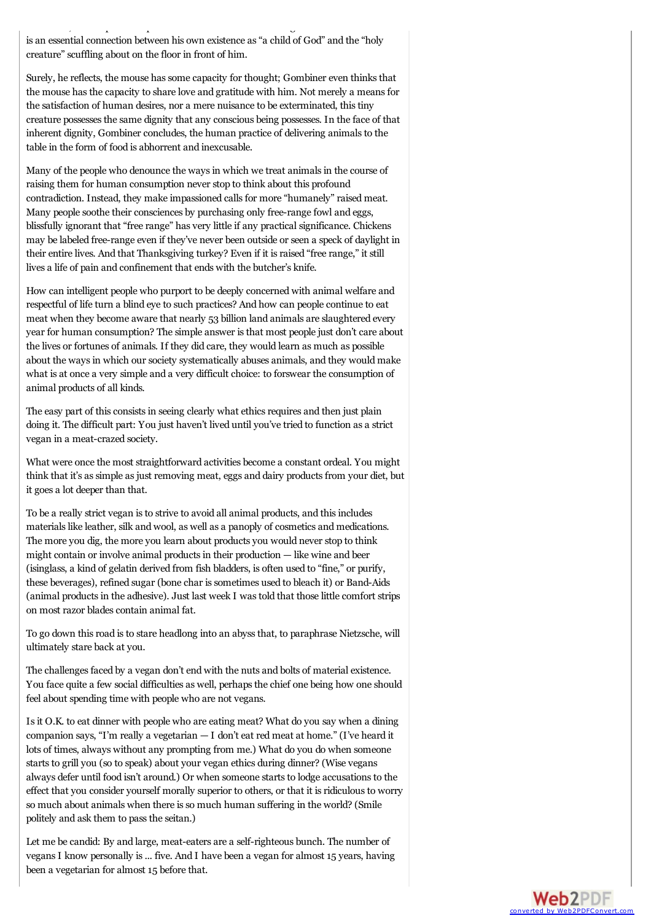is an essential connection between his own existence as "a child of God" and the "holy creature" scuffling about on the floor in front of him.

 $G_{\rm eff}$  contemplates his place in the cosmic scheme of things and concludesthat the concludest there are concluded there are concluded the cosmic scheme of things and concludest the cosmic scheme of things and concludest

Surely, he reflects, the mouse has some capacity for thought; Gombiner even thinks that the mouse hasthe capacity to share love and gratitude with him. Not merely a meansfor the satisfaction of human desires, nor a mere nuisance to be exterminated, this tiny creature possessesthe same dignity that any conscious being possesses. In the face of that inherent dignity, Gombiner concludes, the human practice of delivering animals to the table in the form of food is abhorrent and inexcusable.

Many of the people who denounce the ways in which we treat animals in the course of raising them for human consumption never stop to think about this profound contradiction. Instead, they make impassioned callsfor more "humanely" raised meat. Many people soothe their consciences by purchasing only free-range fowl and eggs, blissfully ignorant that "free range" has very little if any practical significance. Chickens may be labeled free-range even if they've never been outside or seen a speck of daylight in their entire lives. And that Thanksgiving turkey? Even if it israised "free range," it still lives a life of pain and confinement that ends with the butcher's knife.

How can intelligent people who purport to be deeply concerned with animal welfare and respectful of life turn a blind eye to such practices? And how can people continue to eat meat when they become aware that nearly 53 billion land animals are slaughtered every year for human consumption? The simple answer isthat most people just don't care about the lives or fortunes of animals. If they did care, they would learn as much as possible about the waysin which our society systematically abuses animals, and they would make what is at once a very simple and a very difficult choice: to forswear the consumption of animal products of all kinds.

The easy part of this consists in seeing clearly what ethics requires and then just plain doing it. The difficult part: You just haven't lived until you've tried to function as a strict vegan in a meat-crazed society.

What were once the most straightforward activities become a constant ordeal. You might think that it's as simple as just removing meat, eggs and dairy products from your diet, but it goes a lot deeper than that.

To be a really strict vegan is to strive to avoid all animal products, and this includes materials like leather, silk and wool, as well as a panoply of cosmetics and medications. The more you dig, the more you learn about products you would never stop to think might contain or involve animal products in their production  $-$  like wine and beer (isinglass, a kind of gelatin derived from fish bladders, is often used to "fine," or purify, these beverages), refined sugar (bone char issometimes used to bleach it) or Band-Aids (animal productsin the adhesive). Just last week I wastold that those little comfort strips on most razor bladescontain animal fat.

To go down this road is to stare headlong into an abyss that, to paraphrase Nietzsche, will ultimately stare back at you.

The challenges faced by a vegan don't end with the nuts and bolts of material existence. You face quite a few social difficulties as well, perhaps the chief one being how one should feel about spending time with people who are not vegans.

Is it O.K. to eat dinner with people who are eating meat? What do you say when a dining companion says, "I'm really a vegetarian — I don't eat red meat at home." (I've heard it lots of times, always without any prompting from me.) What do you do when someone starts to grill you (so to speak) about your vegan ethics during dinner? (Wise vegans always defer until food isn't around.) Or when someone starts to lodge accusations to the effect that you consider yourself morally superior to others, or that it is ridiculous to worry so much about animals when there is so much human suffering in the world? (Smile politely and ask them to passthe seitan.)

Let me be candid: By and large, meat-eaters are a self-righteous bunch. The number of vegans I know personally is ... five. And I have been a vegan for almost 15 years, having been a vegetarian for almost 15 before that.